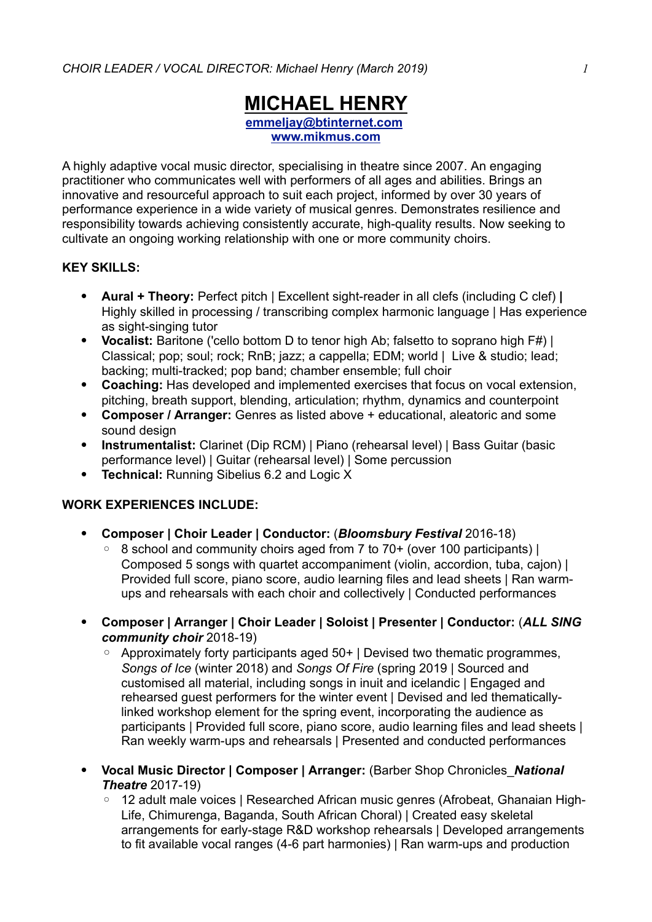# **MICHAEL HENRY emmeljay@btinternet.com www.mikmus.com**

A highly adaptive vocal music director, specialising in theatre since 2007. An engaging practitioner who communicates well with performers of all ages and abilities. Brings an innovative and resourceful approach to suit each project, informed by over 30 years of performance experience in a wide variety of musical genres. Demonstrates resilience and responsibility towards achieving consistently accurate, high-quality results. Now seeking to cultivate an ongoing working relationship with one or more community choirs.

### **KEY SKILLS:**

- ! **Aural + Theory:** Perfect pitch | Excellent sight-reader in all clefs (including C clef) **|** Highly skilled in processing / transcribing complex harmonic language | Has experience as sight-singing tutor
- ! **Vocalist:** Baritone ('cello bottom D to tenor high Ab; falsetto to soprano high F#) | Classical; pop; soul; rock; RnB; jazz; a cappella; EDM; world | Live & studio; lead; backing; multi-tracked; pop band; chamber ensemble; full choir
- ! **Coaching:** Has developed and implemented exercises that focus on vocal extension, pitching, breath support, blending, articulation; rhythm, dynamics and counterpoint
- ! **Composer / Arranger:** Genres as listed above + educational, aleatoric and some sound design
- ! **Instrumentalist:** Clarinet (Dip RCM) | Piano (rehearsal level) | Bass Guitar (basic performance level) | Guitar (rehearsal level) | Some percussion
- **Technical: Running Sibelius 6.2 and Logic X**

#### **WORK EXPERIENCES INCLUDE:**

- ! **Composer | Choir Leader | Conductor:** (*Bloomsbury Festival* 2016-18)
	- 8 school and community choirs aged from 7 to 70+ (over 100 participants) | Composed 5 songs with quartet accompaniment (violin, accordion, tuba, cajon) | Provided full score, piano score, audio learning files and lead sheets | Ran warmups and rehearsals with each choir and collectively | Conducted performances
- ! **Composer | Arranger | Choir Leader | Soloist | Presenter | Conductor:** (*ALL SING community choir* 2018-19)
	- Approximately forty participants aged 50+ | Devised two thematic programmes, *Songs of Ice* (winter 2018) and *Songs Of Fire* (spring 2019 | Sourced and customised all material, including songs in inuit and icelandic | Engaged and rehearsed guest performers for the winter event | Devised and led thematicallylinked workshop element for the spring event, incorporating the audience as participants | Provided full score, piano score, audio learning files and lead sheets | Ran weekly warm-ups and rehearsals | Presented and conducted performances
- ! **Vocal Music Director | Composer | Arranger:** (Barber Shop Chronicles\_*National Theatre* 2017-19)
	- 12 adult male voices | Researched African music genres (Afrobeat, Ghanaian High-Life, Chimurenga, Baganda, South African Choral) | Created easy skeletal arrangements for early-stage R&D workshop rehearsals | Developed arrangements to fit available vocal ranges (4-6 part harmonies) | Ran warm-ups and production